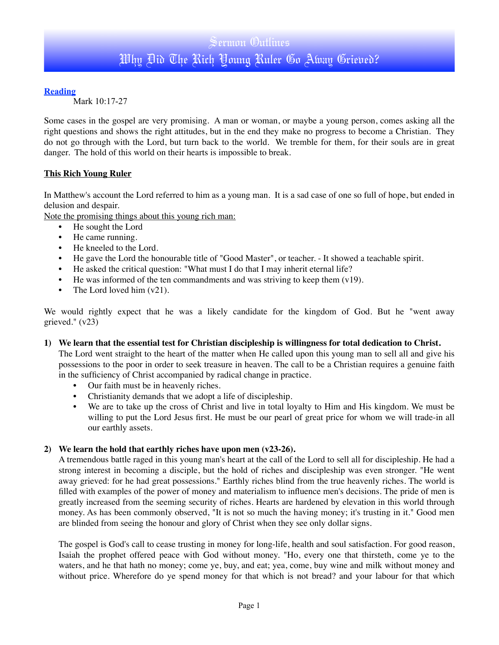# **Reading**

Mark 10:17-27

Some cases in the gospel are very promising. A man or woman, or maybe a young person, comes asking all the right questions and shows the right attitudes, but in the end they make no progress to become a Christian. They do not go through with the Lord, but turn back to the world. We tremble for them, for their souls are in great danger. The hold of this world on their hearts is impossible to break.

## **This Rich Young Ruler**

In Matthew's account the Lord referred to him as a young man. It is a sad case of one so full of hope, but ended in delusion and despair.

Note the promising things about this young rich man:

- He sought the Lord
- He came running.
- He kneeled to the Lord.
- He gave the Lord the honourable title of "Good Master", or teacher. It showed a teachable spirit.
- He asked the critical question: "What must I do that I may inherit eternal life?
- He was informed of the ten commandments and was striving to keep them  $(v19)$ .
- The Lord loved him  $(v21)$ .

We would rightly expect that he was a likely candidate for the kingdom of God. But he "went away grieved." (v23)

### **1) We learn that the essential test for Christian discipleship is willingness for total dedication to Christ.**

The Lord went straight to the heart of the matter when He called upon this young man to sell all and give his possessions to the poor in order to seek treasure in heaven. The call to be a Christian requires a genuine faith in the sufficiency of Christ accompanied by radical change in practice.

- Our faith must be in heavenly riches.
- Christianity demands that we adopt a life of discipleship.
- We are to take up the cross of Christ and live in total loyalty to Him and His kingdom. We must be willing to put the Lord Jesus first. He must be our pearl of great price for whom we will trade-in all our earthly assets.

### **2) We learn the hold that earthly riches have upon men (v23-26).**

A tremendous battle raged in this young man's heart at the call of the Lord to sell all for discipleship. He had a strong interest in becoming a disciple, but the hold of riches and discipleship was even stronger. "He went away grieved: for he had great possessions." Earthly riches blind from the true heavenly riches. The world is filled with examples of the power of money and materialism to influence men's decisions. The pride of men is greatly increased from the seeming security of riches. Hearts are hardened by elevation in this world through money. As has been commonly observed, "It is not so much the having money; it's trusting in it." Good men are blinded from seeing the honour and glory of Christ when they see only dollar signs.

The gospel is God's call to cease trusting in money for long-life, health and soul satisfaction. For good reason, Isaiah the prophet offered peace with God without money. "Ho, every one that thirsteth, come ye to the waters, and he that hath no money; come ye, buy, and eat; yea, come, buy wine and milk without money and without price. Wherefore do ye spend money for that which is not bread? and your labour for that which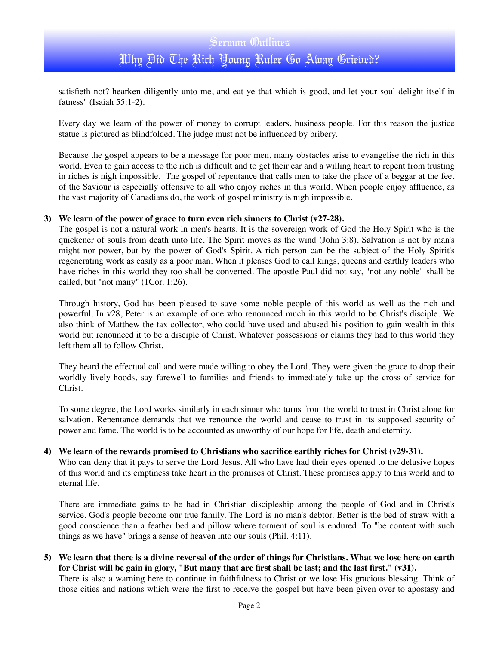satisfieth not? hearken diligently unto me, and eat ye that which is good, and let your soul delight itself in fatness" (Isaiah 55:1-2).

Every day we learn of the power of money to corrupt leaders, business people. For this reason the justice statue is pictured as blindfolded. The judge must not be influenced by bribery.

Because the gospel appears to be a message for poor men, many obstacles arise to evangelise the rich in this world. Even to gain access to the rich is difficult and to get their ear and a willing heart to repent from trusting in riches is nigh impossible. The gospel of repentance that calls men to take the place of a beggar at the feet of the Saviour is especially offensive to all who enjoy riches in this world. When people enjoy affluence, as the vast majority of Canadians do, the work of gospel ministry is nigh impossible.

### **3) We learn of the power of grace to turn even rich sinners to Christ (v27-28).**

The gospel is not a natural work in men's hearts. It is the sovereign work of God the Holy Spirit who is the quickener of souls from death unto life. The Spirit moves as the wind (John 3:8). Salvation is not by man's might nor power, but by the power of God's Spirit. A rich person can be the subject of the Holy Spirit's regenerating work as easily as a poor man. When it pleases God to call kings, queens and earthly leaders who have riches in this world they too shall be converted. The apostle Paul did not say, "not any noble" shall be called, but "not many" (1Cor. 1:26).

Through history, God has been pleased to save some noble people of this world as well as the rich and powerful. In v28, Peter is an example of one who renounced much in this world to be Christ's disciple. We also think of Matthew the tax collector, who could have used and abused his position to gain wealth in this world but renounced it to be a disciple of Christ. Whatever possessions or claims they had to this world they left them all to follow Christ.

They heard the effectual call and were made willing to obey the Lord. They were given the grace to drop their worldly lively-hoods, say farewell to families and friends to immediately take up the cross of service for Christ.

To some degree, the Lord works similarly in each sinner who turns from the world to trust in Christ alone for salvation. Repentance demands that we renounce the world and cease to trust in its supposed security of power and fame. The world is to be accounted as unworthy of our hope for life, death and eternity.

### **4) We learn of the rewards promised to Christians who sacrifice earthly riches for Christ (v29-31).**

Who can deny that it pays to serve the Lord Jesus. All who have had their eyes opened to the delusive hopes of this world and its emptiness take heart in the promises of Christ. These promises apply to this world and to eternal life.

There are immediate gains to be had in Christian discipleship among the people of God and in Christ's service. God's people become our true family. The Lord is no man's debtor. Better is the bed of straw with a good conscience than a feather bed and pillow where torment of soul is endured. To "be content with such things as we have" brings a sense of heaven into our souls (Phil. 4:11).

**5) We learn that there is a divine reversal of the order of things for Christians. What we lose here on earth for Christ will be gain in glory, "But many that are first shall be last; and the last first." (v31).** 

There is also a warning here to continue in faithfulness to Christ or we lose His gracious blessing. Think of those cities and nations which were the first to receive the gospel but have been given over to apostasy and